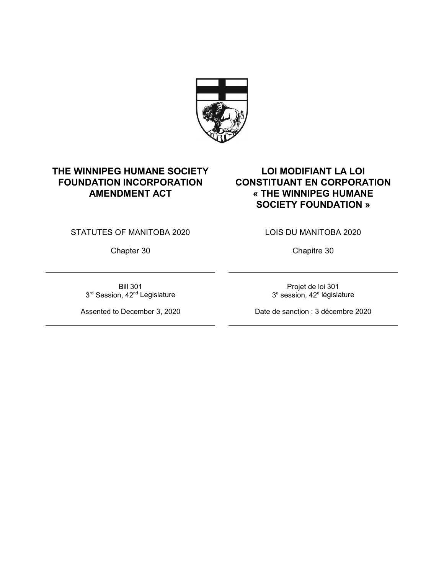

# **THE WINNIPEG HUMANE SOCIETY FOUNDATION INCORPORATION AMENDMENT ACT**

**LOI MODIFIANT LA LOI CONSTITUANT EN CORPORATION « THE WINNIPEG HUMANE SOCIETY FOUNDATION »**

STATUTES OF MANITOBA 2020

Chapter 30

Bill 301 3<sup>rd</sup> Session, 42<sup>nd</sup> Legislature

Assented to December 3, 2020

LOIS DU MANITOBA 2020

Chapitre 30

Projet de loi 301 3<sup>e</sup> session, 42<sup>e</sup> législature

Date de sanction : 3 décembre 2020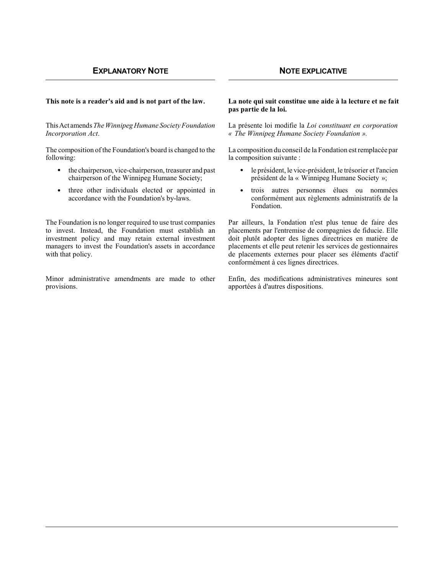ThisAct amends *The Winnipeg Humane Society Foundation Incorporation Act*.

The composition of the Foundation's board is changed to the following:

- $\bullet$  the chairperson, vice-chairperson, treasurer and past chairperson of the Winnipeg Humane Society;
- three other individuals elected or appointed in accordance with the Foundation's by-laws.

The Foundation is no longer required to use trust companies to invest. Instead, the Foundation must establish an investment policy and may retain external investment managers to invest the Foundation's assets in accordance with that policy.

Minor administrative amendments are made to other provisions.

#### **This note is a reader's aid and is not part of the law. La note qui suit constitue une aide à la lecture et ne fait pas partie de la loi.**

La présente loi modifie la *Loi constituant en corporation « The Winnipeg Humane Society Foundation ».*

La composition du conseil de la Fondation est remplacée par la composition suivante :

- h le président, le vice-président, le trésorier et l'ancien président de la « Winnipeg Humane Society »;
- h trois autres personnes élues ou nommées conformément aux règlements administratifs de la Fondation.

Par ailleurs, la Fondation n'est plus tenue de faire des placements par l'entremise de compagnies de fiducie. Elle doit plutôt adopter des lignes directrices en matière de placements et elle peut retenir les services de gestionnaires de placements externes pour placer ses éléments d'actif conformément à ces lignes directrices.

Enfin, des modifications administratives mineures sont apportées à d'autres dispositions.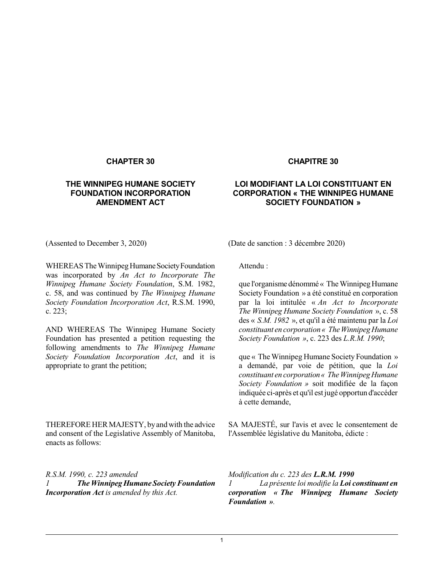# **THE WINNIPEG HUMANE SOCIETY FOUNDATION INCORPORATION AMENDMENT ACT**

### **CHAPTER 30 CHAPITRE 30**

# **LOI MODIFIANT LA LOI CONSTITUANT EN CORPORATION « THE WINNIPEG HUMANE SOCIETY FOUNDATION »**

WHEREAS The Winnipeg Humane Society Foundation was incorporated by *An Act to Incorporate The Winnipeg Humane Society Foundation*, S.M. 1982, c. 58, and was continued by *The Winnipeg Humane Society Foundation Incorporation Act*, R.S.M. 1990, c. 223;

AND WHEREAS The Winnipeg Humane Society Foundation has presented a petition requesting the following amendments to *The Winnipeg Humane Society Foundation Incorporation Act*, and it is appropriate to grant the petition;

THEREFORE HER MAJESTY, by and with the advice and consent of the Legislative Assembly of Manitoba, enacts as follows:

*R.S.M. 1990, c. 223 amended 1 TheWinnipegHumane SocietyFoundation Incorporation Act is amended by this Act.*

(Assented to December 3, 2020) (Date de sanction : 3 décembre 2020)

Attendu :

que l'organisme dénommé « TheWinnipegHumane Society Foundation » a été constitué en corporation par la loi intitulée « *An Act to Incorporate The Winnipeg Humane Society Foundation* », c. 58 des « *S.M. 1982* », et qu'il a été maintenu par la *Loi constituant en corporation « TheWinnipegHumane Society Foundation »*, c. 223 des *L.R.M. 1990*;

que « The Winnipeg Humane Society Foundation » a demandé, par voie de pétition, que la *Loi constituant en corporation« TheWinnipegHumane Society Foundation »* soit modifiée de la façon indiquée ci-après et qu'il est jugé opportun d'accéder à cette demande,

SA MAJESTÉ, sur l'avis et avec le consentement de l'Assemblée législative du Manitoba, édicte :

*Modification du c. 223 des L.R.M. 1990 1 La présente loi modifie la Loi constituant en corporation « The Winnipeg Humane Society Foundation ».*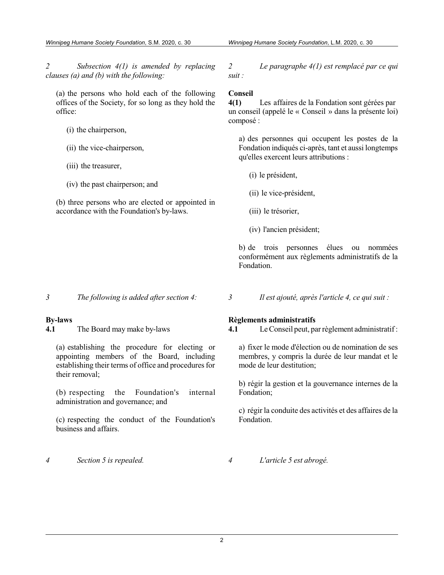*2 Subsection 4(1) is amended by replacing clauses (a) and (b) with the following:*

(a) the persons who hold each of the following offices of the Society, for so long as they hold the office:

- (i) the chairperson,
- (ii) the vice-chairperson,
- (iii) the treasurer,
- (iv) the past chairperson; and

(b) three persons who are elected or appointed in accordance with the Foundation's by-laws.

*2 Le paragraphe 4(1) est remplacé par ce qui suit :*

# **Conseil**

**4(1)** Les affaires de la Fondation sont gérées par un conseil (appelé le « Conseil » dans la présente loi) composé :

a) des personnes qui occupent les postes de la Fondation indiqués ci-après, tant et aussi longtemps qu'elles exercent leurs attributions :

- (i) le président,
- (ii) le vice-président,
- (iii) le trésorier,
- (iv) l'ancien président;

b) de trois personnes élues ou nommées conformément aux règlements administratifs de la Fondation.

*3 The following is added after section 4: 3 Il est ajouté, après l'article 4, ce qui suit :*

# **By-laws**

**4.1** The Board may make by-laws

(a) establishing the procedure for electing or appointing members of the Board, including establishing their terms of office and procedures for their removal;

(b) respecting the Foundation's internal administration and governance; and

(c) respecting the conduct of the Foundation's business and affairs.

# *4 Section 5 is repealed. 4 L'article 5 est abrogé.*

# **Règlements administratifs**

**4.1** LeConseil peut, parrèglement administratif:

a) fixer le mode d'élection ou de nomination de ses membres, y compris la durée de leur mandat et le mode de leur destitution;

b) régir la gestion et la gouvernance internes de la Fondation;

c) régir la conduite des activités et des affaires de la Fondation.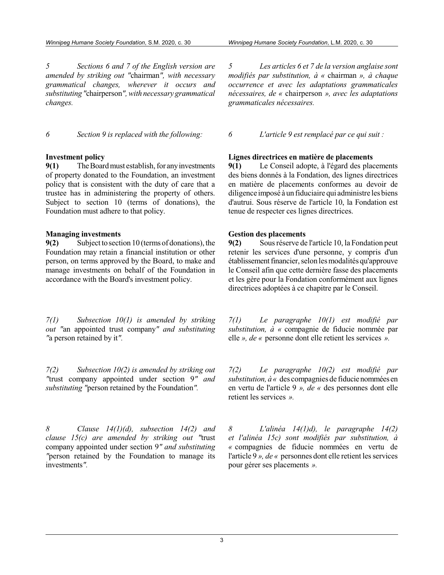*5 Sections 6 and 7 of the English version are amended by striking out "*chairman*", with necessary grammatical changes, wherever it occurs and substituting"*chairperson*", with necessary grammatical changes.*

#### **Investment policy**

**9(1)** TheBoardmust establish, for anyinvestments of property donated to the Foundation, an investment policy that is consistent with the duty of care that a trustee has in administering the property of others. Subject to section 10 (terms of donations), the Foundation must adhere to that policy.

#### **Managing investments**

**9(2)** Subjecttosection 10 (terms of donations), the Foundation may retain a financial institution or other person, on terms approved by the Board, to make and manage investments on behalf of the Foundation in accordance with the Board's investment policy.

*7(1) Subsection 10(1) is amended by striking out "*an appointed trust company*" and substituting "*a person retained by it*".*

*7(2) Subsection 10(2) is amended by striking out "*trust company appointed under section 9*" and substituting "*person retained by the Foundation*".*

*8 Clause 14(1)(d), subsection 14(2) and clause 15(c) are amended by striking out "*trust company appointed under section 9*" and substituting "*person retained by the Foundation to manage its investments*".*

*5 Les articles 6 et 7 de la version anglaise sont modifiés par substitution, à «* chairman *», à chaque occurrence et avec les adaptations grammaticales nécessaires, de «* chairperson *», avec les adaptations grammaticales nécessaires.*

*6 Section 9 is replaced with the following: 6 L'article 9 est remplacé par ce qui suit :*

#### **Lignes directrices en matière de placements**

**9(1)** Le Conseil adopte, à l'égard des placements des biens donnés à la Fondation, des lignes directrices en matière de placements conformes au devoir de diligence imposé à un fiduciaire qui administre les biens d'autrui. Sous réserve de l'article 10, la Fondation est tenue de respecter ces lignes directrices.

#### **Gestion des placements**

**9(2)** Sousréserve de l'article 10, la Fondation peut retenir les services d'une personne, y compris d'un établissement financier, selon les modalités qu'approuve le Conseil afin que cette dernière fasse des placements et les gère pour la Fondation conformément aux lignes directrices adoptées à ce chapitre par le Conseil.

*7(1) Le paragraphe 10(1) est modifié par substitution, à «* compagnie de fiducie nommée par elle *», de «* personne dont elle retient les services *».*

*7(2) Le paragraphe 10(2) est modifié par*  $substitution, \hat{a} \ll$  des compagnies de fiducie nommées en en vertu de l'article 9 *», de «* des personnes dont elle retient les services *».*

*8 L'alinéa 14(1)d), le paragraphe 14(2) et l'alinéa 15c) sont modifiés par substitution, à «* compagnies de fiducie nommées en vertu de l'article 9 *», de* « personnes dont elle retient les services pour gérer ses placements *».*